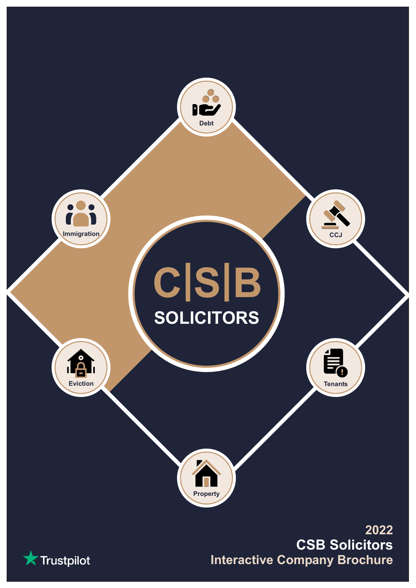

**X** Trustpilot

**Interactive Company Brochure CSB Solicitors**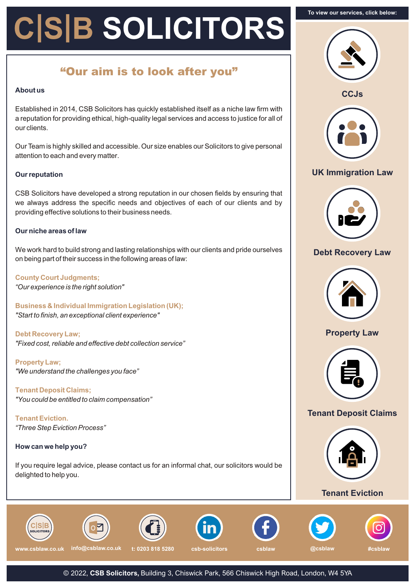# **C|S|B SOLICITORS**

# **"Our aim is to look after you"**

#### **About us**

Established in 2014, CSB Solicitors has quickly established itself as a niche law firm with a reputation for providing ethical, high-quality legal services and access to justice for all of our clients.

Our Team is highly skilled and accessible. Our size enables our Solicitors to give personal attention to each and every matter.

#### **Our reputation**

CSB Solicitors have developed a strong reputation in our chosen fields by ensuring that we always address the specific needs and objectives of each of our clients and by providing effective solutions to their business needs.

#### **Our niche areas of law**

We work hard to build strong and lasting relationships with our clients and pride ourselves on being part of their success in the following areas of law:

*"Our experience is the right solution"* **County Court Judgments;**

*"Start to finish, an exceptional client experience"* **Business & Individual Immigration Legislation (UK);**

*"Fixed cost, reliable and effective debt collection service"* **Debt Recovery Law;**

*"We understand the challenges you face"* **Property Law;**

*"You could be entitled to claim compensation"* **Tenant Deposit Claims;**

*"Three Step Eviction Process"* **Tenant Eviction.**

#### **How can we help you?**

If you require legal advice, please contact us for an informal chat, our solicitors would be delighted to help you.







## **UK [Immigration](https://csblaw.co.uk/services/immigration-law-uk/) Law**



## **Debt [Recovery](https://csblaw.co.uk/services/debt-recovery-law/) Law**



# **[Property](https://csblaw.co.uk/services/property-law/) Law**



# **Tenant [Deposit](https://csblaw.co.uk/services/tenant-deposit-claims/) Claims**



#### **Tenant [Eviction](https://csblaw.co.uk/services/tenant-eviction/)**















© 2022, **CSB Solicitors,** Building 3, Chiswick Park, 566 Chiswick High Road, London, W4 5YA